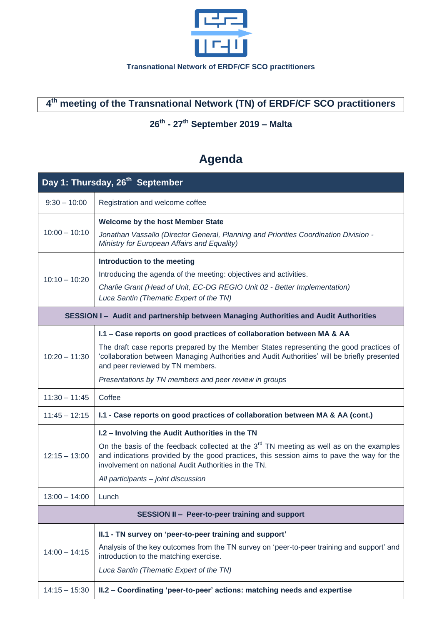

#### **Transnational Network of ERDF/CF SCO practitioners**

# **4 th meeting of the Transnational Network (TN) of ERDF/CF SCO practitioners**

### **26th - 27th September 2019 – Malta**

# **Agenda**

| Day 1: Thursday, 26 <sup>th</sup> September                                          |                                                                                                                                                                                                                                                                                                                                                               |  |
|--------------------------------------------------------------------------------------|---------------------------------------------------------------------------------------------------------------------------------------------------------------------------------------------------------------------------------------------------------------------------------------------------------------------------------------------------------------|--|
| $9:30 - 10:00$                                                                       | Registration and welcome coffee                                                                                                                                                                                                                                                                                                                               |  |
| $10:00 - 10:10$                                                                      | <b>Welcome by the host Member State</b><br>Jonathan Vassallo (Director General, Planning and Priorities Coordination Division -<br>Ministry for European Affairs and Equality)                                                                                                                                                                                |  |
| $10:10 - 10:20$                                                                      | Introduction to the meeting<br>Introducing the agenda of the meeting: objectives and activities.<br>Charlie Grant (Head of Unit, EC-DG REGIO Unit 02 - Better Implementation)<br>Luca Santin (Thematic Expert of the TN)                                                                                                                                      |  |
| SESSION I - Audit and partnership between Managing Authorities and Audit Authorities |                                                                                                                                                                                                                                                                                                                                                               |  |
| $10:20 - 11:30$                                                                      | I.1 - Case reports on good practices of collaboration between MA & AA<br>The draft case reports prepared by the Member States representing the good practices of<br>'collaboration between Managing Authorities and Audit Authorities' will be briefly presented<br>and peer reviewed by TN members.<br>Presentations by TN members and peer review in groups |  |
| $11:30 - 11:45$                                                                      | Coffee                                                                                                                                                                                                                                                                                                                                                        |  |
| $11:45 - 12:15$                                                                      | I.1 - Case reports on good practices of collaboration between MA & AA (cont.)                                                                                                                                                                                                                                                                                 |  |
| $12:15 - 13:00$                                                                      | I.2 - Involving the Audit Authorities in the TN<br>On the basis of the feedback collected at the $3^{rd}$ TN meeting as well as on the examples<br>and indications provided by the good practices, this session aims to pave the way for the<br>involvement on national Audit Authorities in the TN.<br>All participants - joint discussion                   |  |
| $13:00 - 14:00$                                                                      | Lunch                                                                                                                                                                                                                                                                                                                                                         |  |
| SESSION II - Peer-to-peer training and support                                       |                                                                                                                                                                                                                                                                                                                                                               |  |
| $14:00 - 14:15$<br>$14:15 - 15:30$                                                   | II.1 - TN survey on 'peer-to-peer training and support'<br>Analysis of the key outcomes from the TN survey on 'peer-to-peer training and support' and<br>introduction to the matching exercise.<br>Luca Santin (Thematic Expert of the TN)<br>II.2 - Coordinating 'peer-to-peer' actions: matching needs and expertise                                        |  |
|                                                                                      |                                                                                                                                                                                                                                                                                                                                                               |  |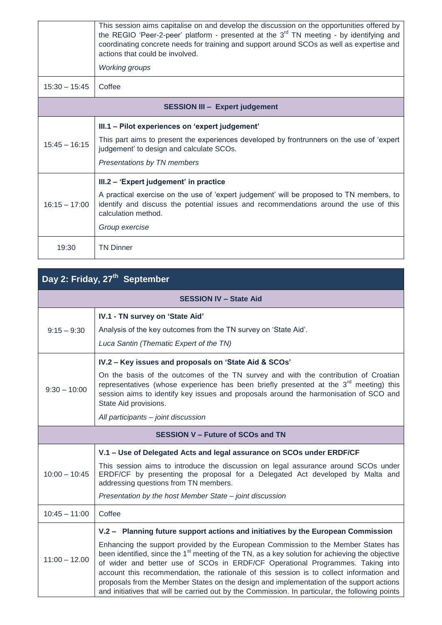|                                       | This session aims capitalise on and develop the discussion on the opportunities offered by<br>the REGIO 'Peer-2-peer' platform - presented at the 3 <sup>rd</sup> TN meeting - by identifying and<br>coordinating concrete needs for training and support around SCOs as well as expertise and<br>actions that could be involved.<br><b>Working groups</b> |  |
|---------------------------------------|------------------------------------------------------------------------------------------------------------------------------------------------------------------------------------------------------------------------------------------------------------------------------------------------------------------------------------------------------------|--|
| $15:30 - 15:45$                       | Coffee                                                                                                                                                                                                                                                                                                                                                     |  |
| <b>SESSION III - Expert judgement</b> |                                                                                                                                                                                                                                                                                                                                                            |  |
| $15:45 - 16:15$                       | III.1 - Pilot experiences on 'expert judgement'<br>This part aims to present the experiences developed by frontrunners on the use of 'expert<br>judgement' to design and calculate SCOs.<br>Presentations by TN members                                                                                                                                    |  |
| $16:15 - 17:00$                       | III.2 – 'Expert judgement' in practice<br>A practical exercise on the use of 'expert judgement' will be proposed to TN members, to<br>identify and discuss the potential issues and recommendations around the use of this<br>calculation method.<br>Group exercise                                                                                        |  |
| 19:30                                 | <b>TN Dinner</b>                                                                                                                                                                                                                                                                                                                                           |  |

## **Day 2: Friday, 27th September**

| <b>SESSION IV - State Aid</b>            |                                                                                                                                                                                                                                                                                                                                                                                                                                                                                                                                                                                                                                                                    |  |
|------------------------------------------|--------------------------------------------------------------------------------------------------------------------------------------------------------------------------------------------------------------------------------------------------------------------------------------------------------------------------------------------------------------------------------------------------------------------------------------------------------------------------------------------------------------------------------------------------------------------------------------------------------------------------------------------------------------------|--|
| $9:15 - 9:30$                            | IV.1 - TN survey on 'State Aid'<br>Analysis of the key outcomes from the TN survey on 'State Aid'.<br>Luca Santin (Thematic Expert of the TN)                                                                                                                                                                                                                                                                                                                                                                                                                                                                                                                      |  |
| $9:30 - 10:00$                           | IV.2 - Key issues and proposals on 'State Aid & SCOs'<br>On the basis of the outcomes of the TN survey and with the contribution of Croatian<br>representatives (whose experience has been briefly presented at the 3 <sup>rd</sup> meeting) this<br>session aims to identify key issues and proposals around the harmonisation of SCO and<br>State Aid provisions.<br>All participants - joint discussion                                                                                                                                                                                                                                                         |  |
| <b>SESSION V - Future of SCOs and TN</b> |                                                                                                                                                                                                                                                                                                                                                                                                                                                                                                                                                                                                                                                                    |  |
| $10:00 - 10:45$                          | V.1 - Use of Delegated Acts and legal assurance on SCOs under ERDF/CF<br>This session aims to introduce the discussion on legal assurance around SCOs under<br>ERDF/CF by presenting the proposal for a Delegated Act developed by Malta and<br>addressing questions from TN members.<br>Presentation by the host Member State - joint discussion                                                                                                                                                                                                                                                                                                                  |  |
| $10:45 - 11:00$                          | Coffee                                                                                                                                                                                                                                                                                                                                                                                                                                                                                                                                                                                                                                                             |  |
| $11:00 - 12.00$                          | V.2 - Planning future support actions and initiatives by the European Commission<br>Enhancing the support provided by the European Commission to the Member States has<br>been identified, since the 1 <sup>st</sup> meeting of the TN, as a key solution for achieving the objective<br>of wider and better use of SCOs in ERDF/CF Operational Programmes. Taking into<br>account this recommendation, the rationale of this session is to collect information and<br>proposals from the Member States on the design and implementation of the support actions<br>and initiatives that will be carried out by the Commission. In particular, the following points |  |